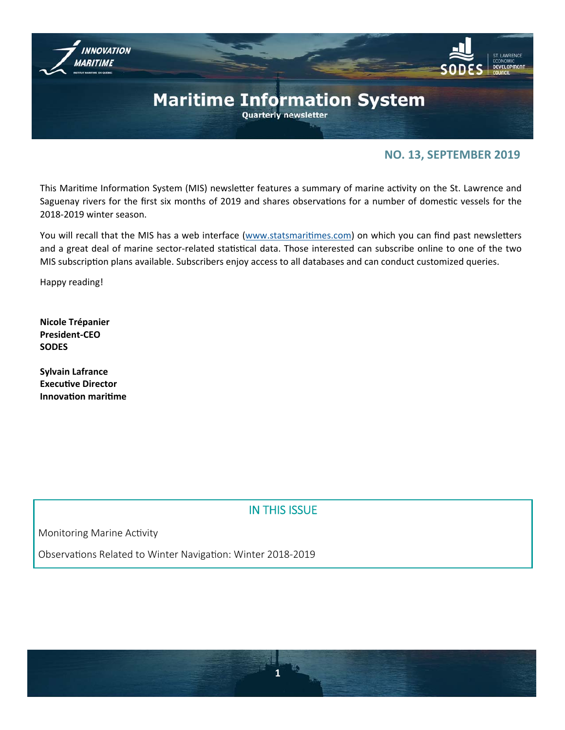

# **NO. 13, SEPTEMBER 2019**

This Maritime Information System (MIS) newsletter features a summary of marine activity on the St. Lawrence and Saguenay rivers for the first six months of 2019 and shares observations for a number of domestic vessels for the 2018‐2019 winter season.

You will recall that the MIS has a web interface (www.statsmaritimes.com) on which you can find past newsletters and a great deal of marine sector-related statistical data. Those interested can subscribe online to one of the two MIS subscription plans available. Subscribers enjoy access to all databases and can conduct customized queries.

Happy reading!

**Nicole Trépanier President‐CEO SODES** 

**Sylvain Lafrance Executive Director InnovaƟon mariƟme** 

# IN THIS ISSUE

Monitoring Marine Activity

Observations Related to Winter Navigation: Winter 2018-2019

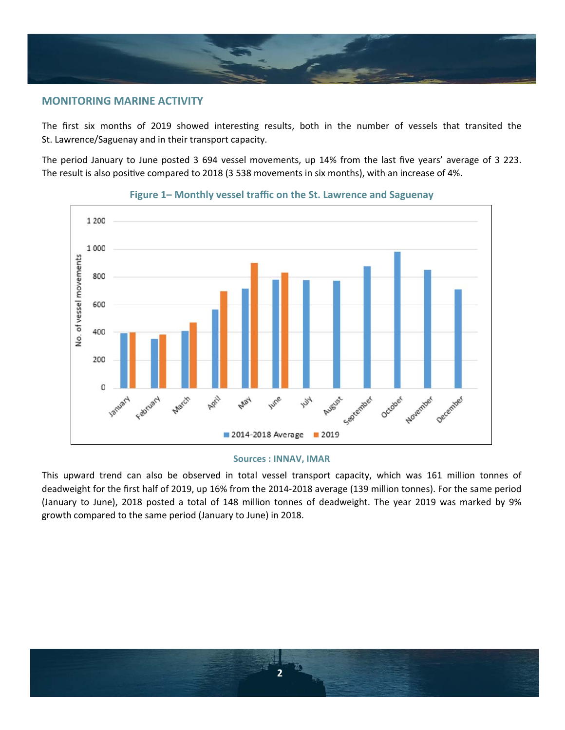

# **MONITORING MARINE ACTIVITY**

The first six months of 2019 showed interesting results, both in the number of vessels that transited the St. Lawrence/Saguenay and in their transport capacity.

The period January to June posted 3 694 vessel movements, up 14% from the last five years' average of 3 223. The result is also positive compared to 2018 (3 538 movements in six months), with an increase of 4%.



## **Figure 1– Monthly vessel traffic on the St. Lawrence and Saguenay**

#### **Sources : INNAV, IMAR**

This upward trend can also be observed in total vessel transport capacity, which was 161 million tonnes of deadweight for the first half of 2019, up 16% from the 2014‐2018 average (139 million tonnes). For the same period (January to June), 2018 posted a total of 148 million tonnes of deadweight. The year 2019 was marked by 9% growth compared to the same period (January to June) in 2018.

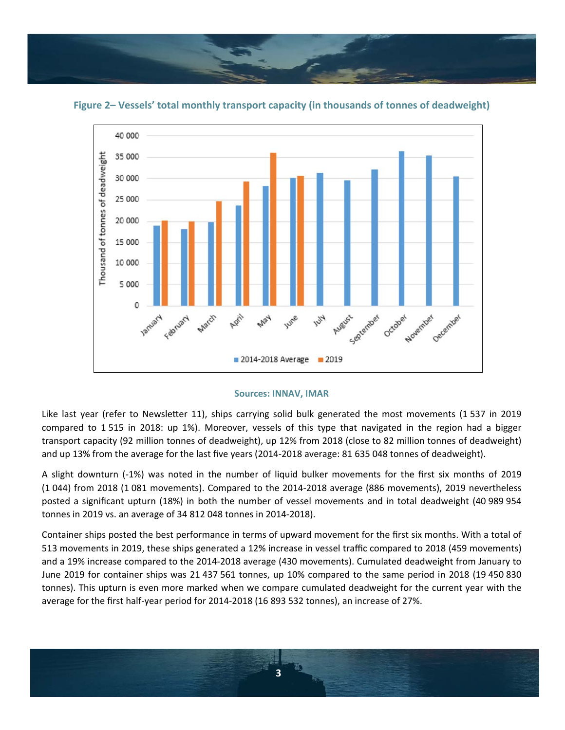



**Figure 2– Vessels' total monthly transport capacity (in thousands of tonnes of deadweight)**

Like last year (refer to Newsletter 11), ships carrying solid bulk generated the most movements (1537 in 2019 compared to 1 515 in 2018: up 1%). Moreover, vessels of this type that navigated in the region had a bigger transport capacity (92 million tonnes of deadweight), up 12% from 2018 (close to 82 million tonnes of deadweight) and up 13% from the average for the last five years (2014‐2018 average: 81 635 048 tonnes of deadweight).

A slight downturn (-1%) was noted in the number of liquid bulker movements for the first six months of 2019 (1 044) from 2018 (1 081 movements). Compared to the 2014‐2018 average (886 movements), 2019 nevertheless posted a significant upturn (18%) in both the number of vessel movements and in total deadweight (40 989 954 tonnes in 2019 vs. an average of 34 812 048 tonnes in 2014‐2018).

Container ships posted the best performance in terms of upward movement for the first six months. With a total of 513 movements in 2019, these ships generated a 12% increase in vessel traffic compared to 2018 (459 movements) and a 19% increase compared to the 2014‐2018 average (430 movements). Cumulated deadweight from January to June 2019 for container ships was 21 437 561 tonnes, up 10% compared to the same period in 2018 (19 450 830 tonnes). This upturn is even more marked when we compare cumulated deadweight for the current year with the average for the first half‐year period for 2014‐2018 (16 893 532 tonnes), an increase of 27%.

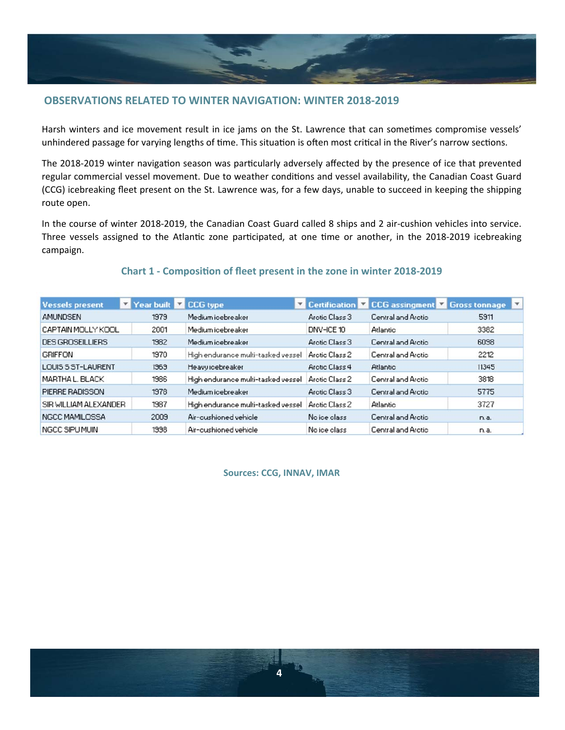

# **OBSERVATIONS RELATED TO WINTER NAVIGATION: WINTER 2018‐2019**

Harsh winters and ice movement result in ice jams on the St. Lawrence that can sometimes compromise vessels' unhindered passage for varying lengths of time. This situation is often most critical in the River's narrow sections.

The 2018-2019 winter navigation season was particularly adversely affected by the presence of ice that prevented regular commercial vessel movement. Due to weather conditions and vessel availability, the Canadian Coast Guard (CCG) icebreaking fleet present on the St. Lawrence was, for a few days, unable to succeed in keeping the shipping route open.

In the course of winter 2018-2019, the Canadian Coast Guard called 8 ships and 2 air-cushion vehicles into service. Three vessels assigned to the Atlantic zone participated, at one time or another, in the 2018-2019 icebreaking campaign.

#### Y Year built V CCG type **Y** Certification **Y** CCG assingment **Y** Gross tonnage **Vessels present AMUNDSEN** Arctic Class 3 1979 Medium icebreaker Central and Arctic 5911 CAPTAIN MOLLY KOOL 2001 DNV-ICE 10 3382 Medium icebreaker **Atlantic DES GROSEILLIERS** 1982 Medium icebreaker Arctic Class 3 Central and Arctic 6038 Central and Arctic 1970 High endurance multi-tasked vessel Arctic Class 2 2212 **GRIFFON** Arotic Class 4 Atlantic LOUIS S ST-LAURENT 1969 Heavy icebreaker 11345 MARTHA L. BLACK High endurance multi-tasked vessel Arctic Class 2 Central and Arotio 1986 3818 Arotio Class 3 Central and Arotio PIERRE RADISSON 1978 Medium icebreaker 5775 SIR WILLIAM ALEXANDER 1987 High endurance multi-tasked vessel Arctic Class 2 **Atlantic** 3727 NGCC MAMILOSSA 2009 No ice class Central and Arctic Air-cushioned vehicle n.a. NGCC SIPU MUIN 1998 Air-cushioned vehicle No ice class Central and Arctic n.a.

# **Chart 1 ‐ ComposiƟon of fleet present in the zone in winter 2018‐2019**

**Sources: CCG, INNAV, IMAR** 

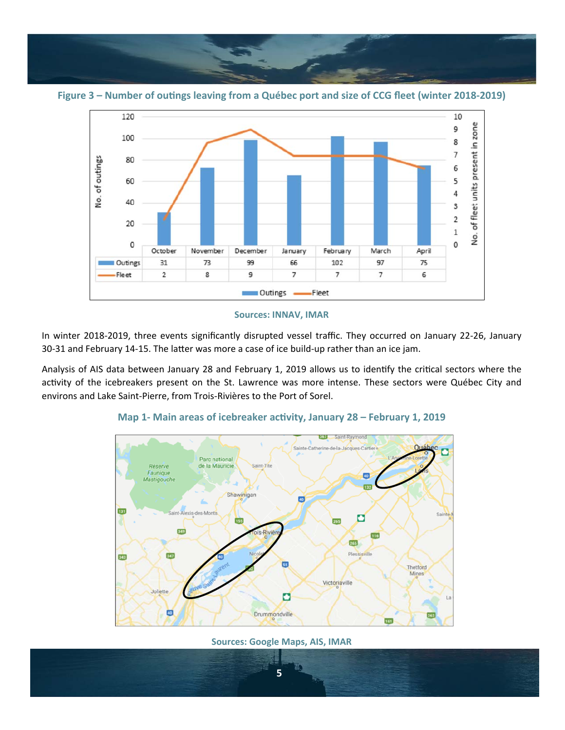

Figure 3 – Number of outings leaving from a Québec port and size of CCG fleet (winter 2018-2019)



In winter 2018‐2019, three events significantly disrupted vessel traffic. They occurred on January 22‐26, January 30-31 and February 14-15. The latter was more a case of ice build-up rather than an ice jam.

Analysis of AIS data between January 28 and February 1, 2019 allows us to identify the critical sectors where the activity of the icebreakers present on the St. Lawrence was more intense. These sectors were Québec City and environs and Lake Saint‐Pierre, from Trois‐Rivières to the Port of Sorel.



# Map 1- Main areas of icebreaker activity, January 28 - February 1, 2019

**Sources: Google Maps, AIS, IMAR** 

**5**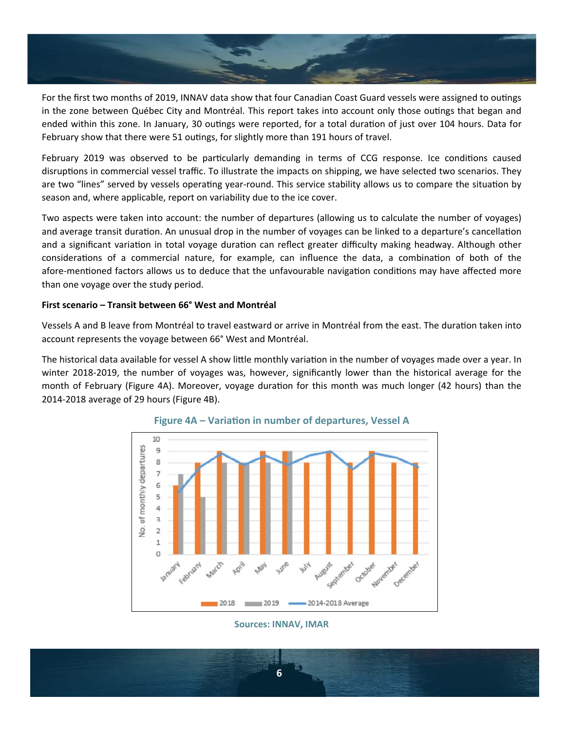

For the first two months of 2019, INNAV data show that four Canadian Coast Guard vessels were assigned to outings in the zone between Québec City and Montréal. This report takes into account only those outings that began and ended within this zone. In January, 30 outings were reported, for a total duration of just over 104 hours. Data for February show that there were 51 outings, for slightly more than 191 hours of travel.

February 2019 was observed to be particularly demanding in terms of CCG response. Ice conditions caused disruptions in commercial vessel traffic. To illustrate the impacts on shipping, we have selected two scenarios. They are two "lines" served by vessels operating year-round. This service stability allows us to compare the situation by season and, where applicable, report on variability due to the ice cover.

Two aspects were taken into account: the number of departures (allowing us to calculate the number of voyages) and average transit duration. An unusual drop in the number of voyages can be linked to a departure's cancellation and a significant variation in total voyage duration can reflect greater difficulty making headway. Although other considerations of a commercial nature, for example, can influence the data, a combination of both of the afore-mentioned factors allows us to deduce that the unfavourable navigation conditions may have affected more than one voyage over the study period.

## **First scenario – Transit between 66° West and Montréal**

Vessels A and B leave from Montréal to travel eastward or arrive in Montréal from the east. The duration taken into account represents the voyage between 66° West and Montréal.

The historical data available for vessel A show little monthly variation in the number of voyages made over a year. In winter 2018-2019, the number of voyages was, however, significantly lower than the historical average for the month of February (Figure 4A). Moreover, voyage duration for this month was much longer (42 hours) than the 2014‐2018 average of 29 hours (Figure 4B).





**Sources: INNAV, IMAR** 

**6**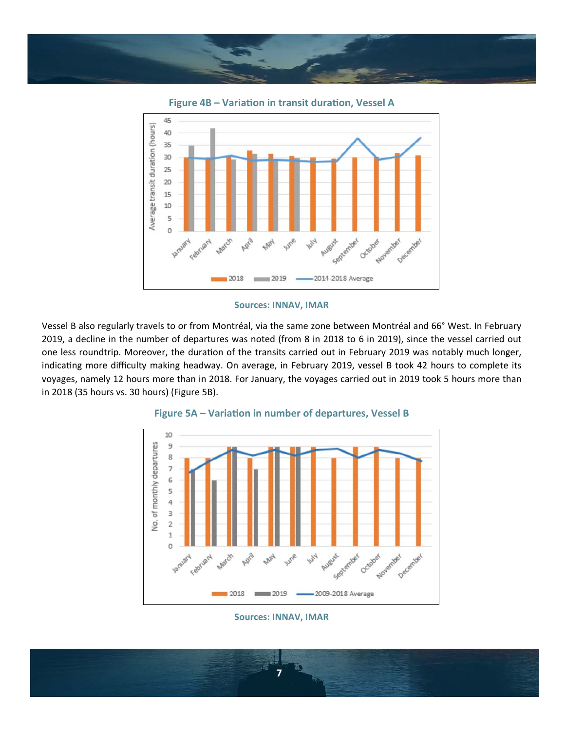





Vessel B also regularly travels to or from Montréal, via the same zone between Montréal and 66° West. In February 2019, a decline in the number of departures was noted (from 8 in 2018 to 6 in 2019), since the vessel carried out one less roundtrip. Moreover, the duration of the transits carried out in February 2019 was notably much longer, indicating more difficulty making headway. On average, in February 2019, vessel B took 42 hours to complete its voyages, namely 12 hours more than in 2018. For January, the voyages carried out in 2019 took 5 hours more than in 2018 (35 hours vs. 30 hours) (Figure 5B).



### Figure 5A – Variation in number of departures, Vessel B

**Sources: INNAV, IMAR** 

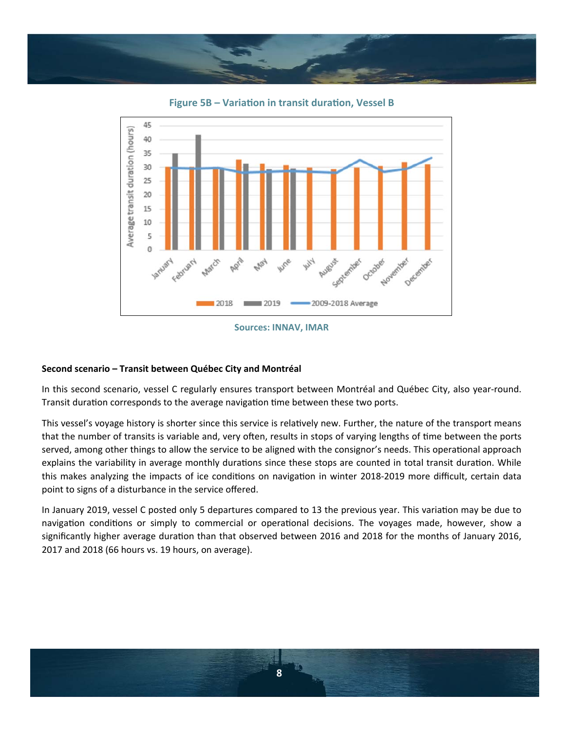

**Figure 5B – Variation in transit duration, Vessel B** 



**Sources: INNAV, IMAR**

# **Second scenario – Transit between Québec City and Montréal**

In this second scenario, vessel C regularly ensures transport between Montréal and Québec City, also year-round. Transit duration corresponds to the average navigation time between these two ports.

This vessel's voyage history is shorter since this service is relatively new. Further, the nature of the transport means that the number of transits is variable and, very often, results in stops of varying lengths of time between the ports served, among other things to allow the service to be aligned with the consignor's needs. This operational approach explains the variability in average monthly durations since these stops are counted in total transit duration. While this makes analyzing the impacts of ice conditions on navigation in winter 2018-2019 more difficult, certain data point to signs of a disturbance in the service offered.

In January 2019, vessel C posted only 5 departures compared to 13 the previous year. This variation may be due to navigation conditions or simply to commercial or operational decisions. The voyages made, however, show a significantly higher average duration than that observed between 2016 and 2018 for the months of January 2016, 2017 and 2018 (66 hours vs. 19 hours, on average).

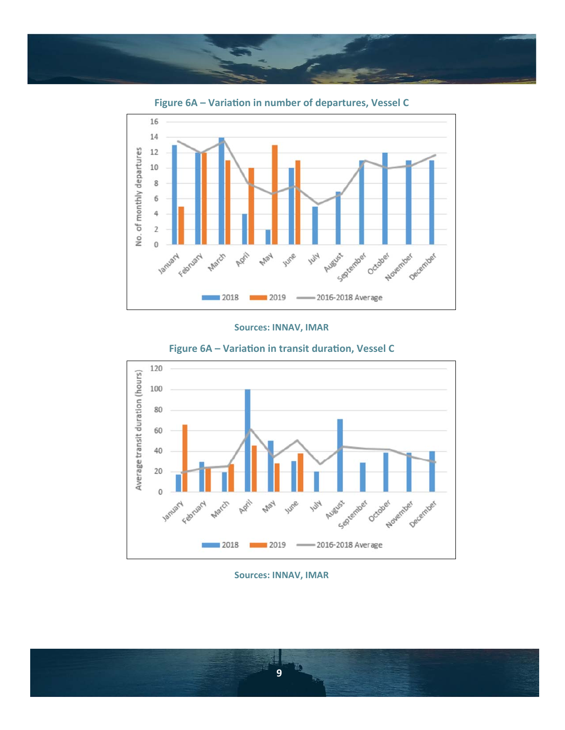









#### **Sources: INNAV, IMAR**